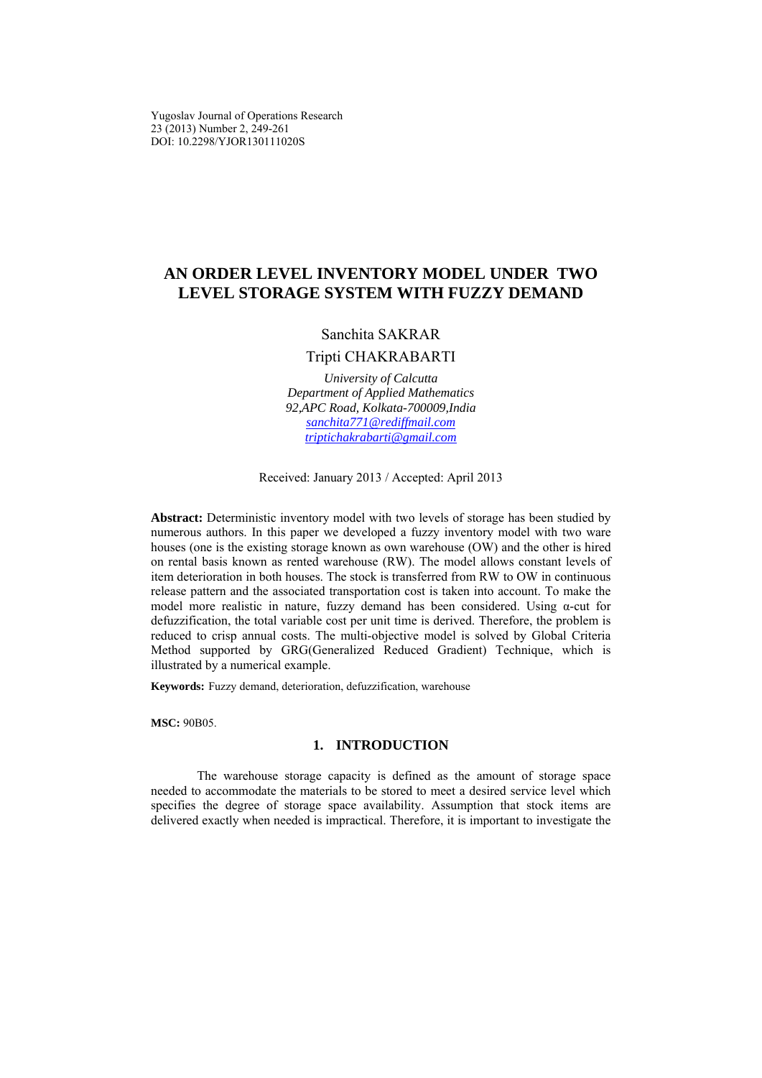Yugoslav Journal of Operations Research 23 (2013) Number 2, 249-261 DOI: 10.2298/YJOR130111020S

# **AN ORDER LEVEL INVENTORY MODEL UNDER TWO LEVEL STORAGE SYSTEM WITH FUZZY DEMAND**

# Sanchita SAKRAR

# Tripti CHAKRABARTI

*University of Calcutta Department of Applied Mathematics 92,APC Road, Kolkata-700009,India sanchita771@rediffmail.com triptichakrabarti@gmail.com*

Received: January 2013 / Аccepted: April 2013

**Abstract:** Deterministic inventory model with two levels of storage has been studied by numerous authors. In this paper we developed a fuzzy inventory model with two ware houses (one is the existing storage known as own warehouse (OW) and the other is hired on rental basis known as rented warehouse (RW). The model allows constant levels of item deterioration in both houses. The stock is transferred from RW to OW in continuous release pattern and the associated transportation cost is taken into account. To make the model more realistic in nature, fuzzy demand has been considered. Using α-cut for defuzzification, the total variable cost per unit time is derived. Therefore, the problem is reduced to crisp annual costs. The multi-objective model is solved by Global Criteria Method supported by GRG(Generalized Reduced Gradient) Technique, which is illustrated by a numerical example.

**Keywords:** Fuzzy demand, deterioration, defuzzification, warehouse

**MSC:** 90B05.

## **1. INTRODUCTION**

The warehouse storage capacity is defined as the amount of storage space needed to accommodate the materials to be stored to meet a desired service level which specifies the degree of storage space availability. Assumption that stock items are delivered exactly when needed is impractical. Therefore, it is important to investigate the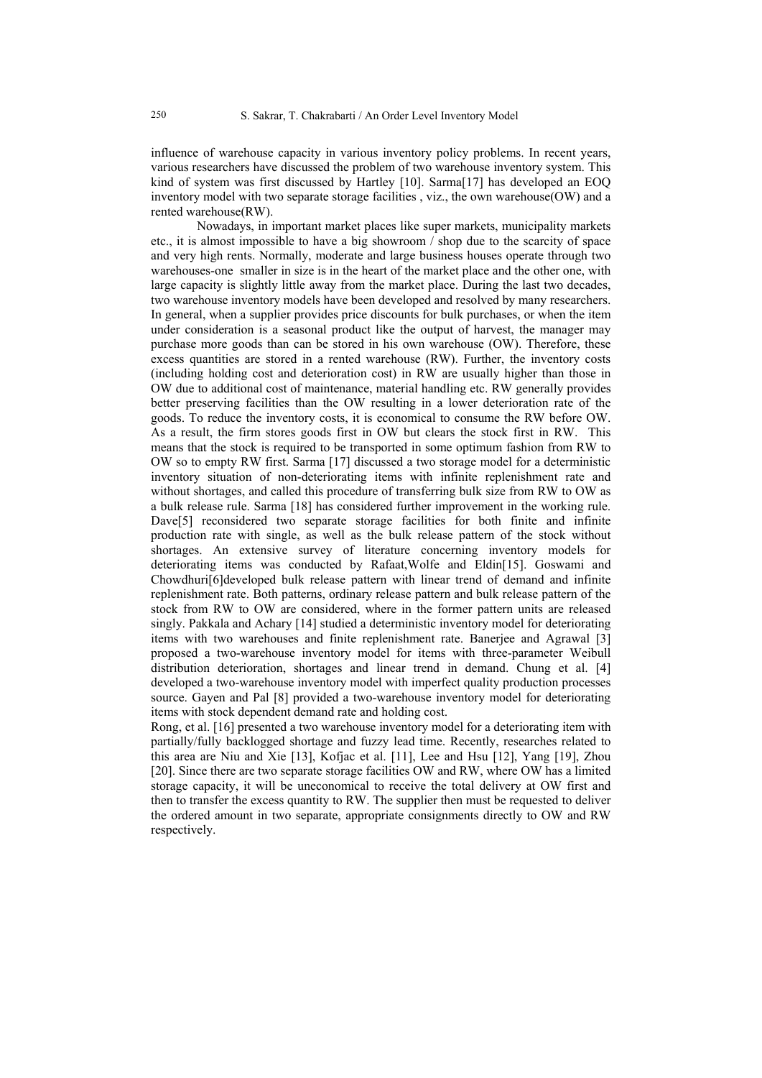influence of warehouse capacity in various inventory policy problems. In recent years, various researchers have discussed the problem of two warehouse inventory system. This kind of system was first discussed by Hartley [10]. Sarma[17] has developed an EOQ inventory model with two separate storage facilities , viz., the own warehouse  $(OW)$  and a rented warehouse(RW).

Nowadays, in important market places like super markets, municipality markets etc., it is almost impossible to have a big showroom / shop due to the scarcity of space and very high rents. Normally, moderate and large business houses operate through two warehouses-one smaller in size is in the heart of the market place and the other one, with large capacity is slightly little away from the market place. During the last two decades, two warehouse inventory models have been developed and resolved by many researchers. In general, when a supplier provides price discounts for bulk purchases, or when the item under consideration is a seasonal product like the output of harvest, the manager may purchase more goods than can be stored in his own warehouse (OW). Therefore, these excess quantities are stored in a rented warehouse (RW). Further, the inventory costs (including holding cost and deterioration cost) in RW are usually higher than those in OW due to additional cost of maintenance, material handling etc. RW generally provides better preserving facilities than the OW resulting in a lower deterioration rate of the goods. To reduce the inventory costs, it is economical to consume the RW before OW. As a result, the firm stores goods first in OW but clears the stock first in RW. This means that the stock is required to be transported in some optimum fashion from RW to OW so to empty RW first. Sarma [17] discussed a two storage model for a deterministic inventory situation of non-deteriorating items with infinite replenishment rate and without shortages, and called this procedure of transferring bulk size from RW to OW as a bulk release rule. Sarma [18] has considered further improvement in the working rule. Dave<sup>[5]</sup> reconsidered two separate storage facilities for both finite and infinite production rate with single, as well as the bulk release pattern of the stock without shortages. An extensive survey of literature concerning inventory models for deteriorating items was conducted by Rafaat,Wolfe and Eldin[15]. Goswami and Chowdhuri[6]developed bulk release pattern with linear trend of demand and infinite replenishment rate. Both patterns, ordinary release pattern and bulk release pattern of the stock from RW to OW are considered, where in the former pattern units are released singly. Pakkala and Achary [14] studied a deterministic inventory model for deteriorating items with two warehouses and finite replenishment rate. Banerjee and Agrawal [3] proposed a two-warehouse inventory model for items with three-parameter Weibull distribution deterioration, shortages and linear trend in demand. Chung et al. [4] developed a two-warehouse inventory model with imperfect quality production processes source. Gayen and Pal [8] provided a two-warehouse inventory model for deteriorating items with stock dependent demand rate and holding cost.

Rong, et al. [16] presented a two warehouse inventory model for a deteriorating item with partially/fully backlogged shortage and fuzzy lead time. Recently, researches related to this area are Niu and Xie [13], Kofjac et al. [11], Lee and Hsu [12], Yang [19], Zhou [20]. Since there are two separate storage facilities OW and RW, where OW has a limited storage capacity, it will be uneconomical to receive the total delivery at OW first and then to transfer the excess quantity to RW. The supplier then must be requested to deliver the ordered amount in two separate, appropriate consignments directly to OW and RW respectively.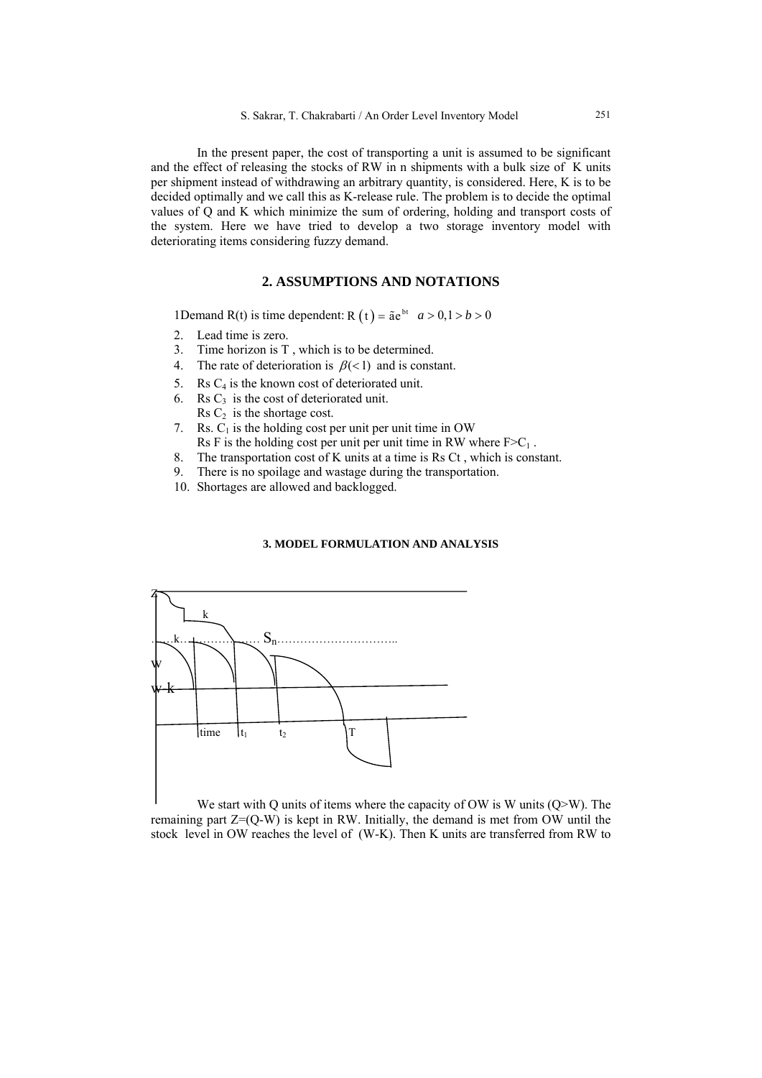In the present paper, the cost of transporting a unit is assumed to be significant and the effect of releasing the stocks of RW in n shipments with a bulk size of K units per shipment instead of withdrawing an arbitrary quantity, is considered. Here, K is to be decided optimally and we call this as K-release rule. The problem is to decide the optimal values of Q and K which minimize the sum of ordering, holding and transport costs of the system. Here we have tried to develop a two storage inventory model with deteriorating items considering fuzzy demand.

# **2. ASSUMPTIONS AND NOTATIONS**

1Demand R(t) is time dependent: R  $(t) = \tilde{a}e^{bt}$   $a > 0, 1 > b > 0$ 

- 2. Lead time is zero.
- 3. Time horizon is T , which is to be determined.
- 4. The rate of deterioration is  $\beta$ (<1) and is constant.
- 5. Rs  $C_4$  is the known cost of deteriorated unit.
- 6. Rs  $C_3$  is the cost of deteriorated unit.
- Rs  $C_2$  is the shortage cost.
- 7. Rs.  $C_1$  is the holding cost per unit per unit time in OW Rs F is the holding cost per unit per unit time in RW where  $F>C_1$ .
- 8. The transportation cost of K units at a time is Rs Ct , which is constant.
- 9. There is no spoilage and wastage during the transportation.
- 10. Shortages are allowed and backlogged.

## **3. MODEL FORMULATION AND ANALYSIS**



We start with Q units of items where the capacity of OW is W units (Q>W). The remaining part Z=(Q-W) is kept in RW. Initially, the demand is met from OW until the stock level in OW reaches the level of (W-K). Then K units are transferred from RW to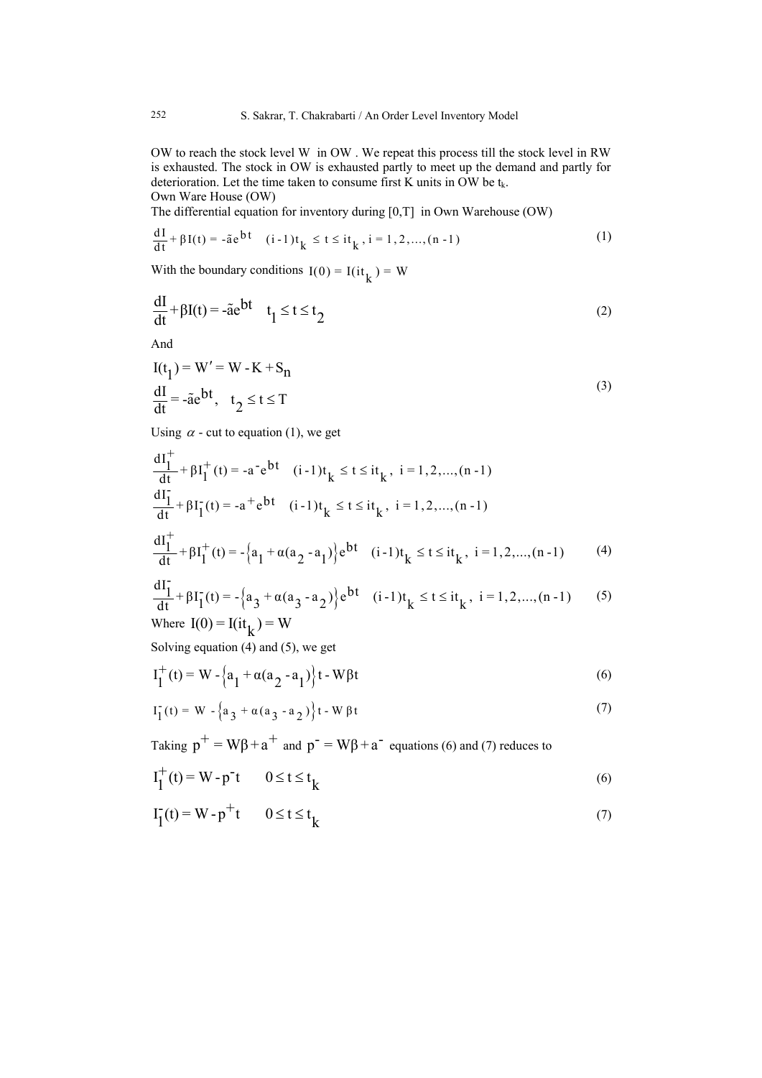OW to reach the stock level W in OW . We repeat this process till the stock level in RW is exhausted. The stock in OW is exhausted partly to meet up the demand and partly for deterioration. Let the time taken to consume first K units in OW be  $t_k$ . Own Ware House (OW)

The differential equation for inventory during [0,T] in Own Warehouse (OW)

$$
\frac{dI}{dt} + \beta I(t) = -\tilde{a}e^{bt} \quad (i-1)t_k \le t \le it_k, i = 1, 2, ..., (n-1)
$$
 (1)

With the boundary conditions  $I(0) = I(it_k) = W$ 

$$
\frac{dI}{dt} + \beta I(t) = -\tilde{a}e^{bt} \quad t_1 \le t \le t_2
$$
 (2)

And

$$
I(t1) = W' = W - K + Sn
$$
  
\n
$$
\frac{dI}{dt} = -\tilde{a}e^{bt}, t2 \le t \le T
$$
\n(3)

Using  $\alpha$  - cut to equation (1), we get

$$
\frac{dI_1^+}{dt} + \beta I_1^+(t) = -a^- e^{bt} \quad (i-1)t_k \le t \le it_k, \ i = 1, 2, ..., (n-1)
$$
\n
$$
\frac{dI_1^-}{dt} + \beta I_1^-(t) = -a^+ e^{bt} \quad (i-1)t_k \le t \le it_k, \ i = 1, 2, ..., (n-1)
$$
\n
$$
\frac{dI_1^+}{dt} + \beta I_1^+(t) = -\left\{a_1 + \alpha(a_2 - a_1)\right\} e^{bt} \quad (i-1)t_k \le t \le it_k, \ i = 1, 2, ..., (n-1) \tag{4}
$$

$$
\frac{d^{2}L}{dt} + \beta I_{1}^{+}(t) = -\left\{a_{1} + \alpha(a_{2} - a_{1})\right\} e^{bt} \quad (i-1)t_{k} \le t \le it_{k}, \ i = 1, 2, ..., (n-1)
$$
 (4)

$$
\frac{dI_1^*}{dt} + \beta I_1^*(t) = -\left\{a_3 + \alpha(a_3 - a_2)\right\} e^{bt} \quad (i-1)t_k \le t \le it_k, \ i = 1, 2, \dots, (n-1) \tag{5}
$$
  
Where  $I(0) = I(it_k) = W$ 

Solving equation (4) and (5), we get

$$
I_1^+(t) = W - \left\{ a_1 + \alpha (a_2 - a_1) \right\} t - W \beta t \tag{6}
$$

$$
I_1^-(t) = W - \left\{ a_3 + \alpha (a_3 - a_2) \right\} t - W \beta t \tag{7}
$$

Taking  $p^+ = W\beta + a^+$  and  $p^- = W\beta + a^-$  equations (6) and (7) reduces to

$$
I_1^+(t) = W - p^t \qquad 0 \le t \le t_k \tag{6}
$$

$$
I_1^-(t) = W - p^+t \qquad 0 \le t \le t_k \tag{7}
$$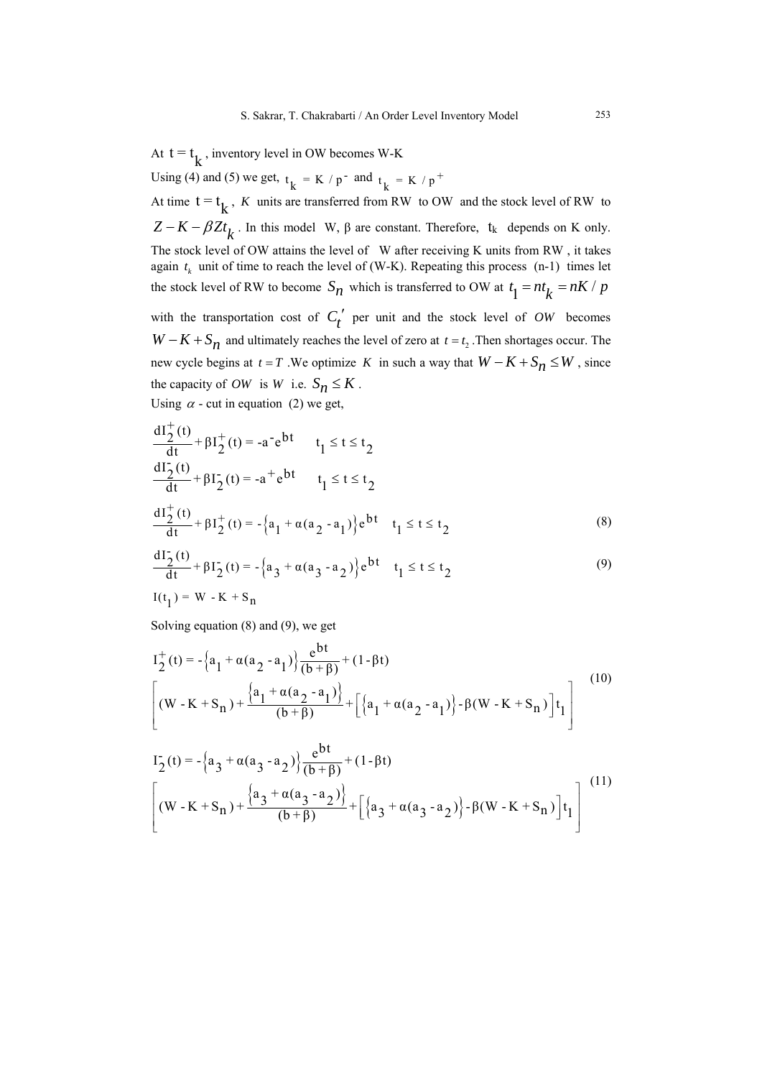At  $t = t_k$ , inventory level in OW becomes W-K

Using (4) and (5) we get,  $t_k = K / p^{\text{-}}$  and  $t_k = K / p^{\text{+}}$ 

At time  $t = t_k$ , *K* units are transferred from RW to OW and the stock level of RW to  $Z - K - \beta Zt_k$ . In this model W,  $\beta$  are constant. Therefore, t<sub>k</sub> depends on K only. The stock level of OW attains the level of W after receiving K units from RW , it takes again  $t_k$  unit of time to reach the level of (W-K). Repeating this process (n-1) times let the stock level of RW to become  $S_n$  which is transferred to OW at  $t_1 = nt_k = nK / p$ with the transportation cost of  $C_t'$  per unit and the stock level of *OW* becomes *W* −  $K$  +  $S_n$  and ultimately reaches the level of zero at  $t = t_2$ . Then shortages occur. The new cycle begins at  $t = T$ . We optimize *K* in such a way that  $W - K + S_n \leq W$ , since the capacity of *OW* is *W* i.e.  $S_n \leq K$ .

Using  $\alpha$  - cut in equation (2) we get,

$$
\frac{dI_2^+(t)}{dt} + \beta I_2^+(t) = -a^- e^{bt} \qquad t_1 \le t \le t_2
$$
  

$$
\frac{dI_2^-(t)}{dt} + \beta I_2^-(t) = -a^+ e^{bt} \qquad t_1 \le t \le t_2
$$
  

$$
\frac{dI_2^+(t)}{dt} + \beta I_2^+(t) = -\left\{a_1 + \alpha(a_2 - a_1)\right\} e^{bt} \qquad t_1 \le t \le t_2
$$
 (8)

$$
\frac{dI_2^-(t)}{dt} + \beta I_2^-(t) = -\left\{a_3 + \alpha(a_3 - a_2)\right\} e^{bt} \quad t_1 \le t \le t_2
$$
\n
$$
I(t_1) = W - K + S_n
$$
\n(9)

Solving equation (8) and (9), we get

$$
I_{2}^{+}(t) = -\left\{a_{1} + \alpha(a_{2} - a_{1})\right\}\frac{e^{bt}}{(b + \beta)} + (1 - \beta t)
$$
  
\n
$$
\left[(W - K + S_{n}) + \frac{\left\{a_{1} + \alpha(a_{2} - a_{1})\right\}}{(b + \beta)} + \left[\left\{a_{1} + \alpha(a_{2} - a_{1})\right\} - \beta(W - K + S_{n})\right]t_{1}\right]
$$
\n(10)

$$
I_{2}^{2}(t) = -\left\{a_{3} + \alpha(a_{3} - a_{2})\right\} \frac{e^{bt}}{(b + \beta)} + (1 - \beta t)
$$
\n
$$
\left[ (W - K + S_{n}) + \frac{\left\{a_{3} + \alpha(a_{3} - a_{2})\right\}}{(b + \beta)} + \left[ \left\{a_{3} + \alpha(a_{3} - a_{2})\right\} - \beta(W - K + S_{n})\right] t_{1} \right] \tag{11}
$$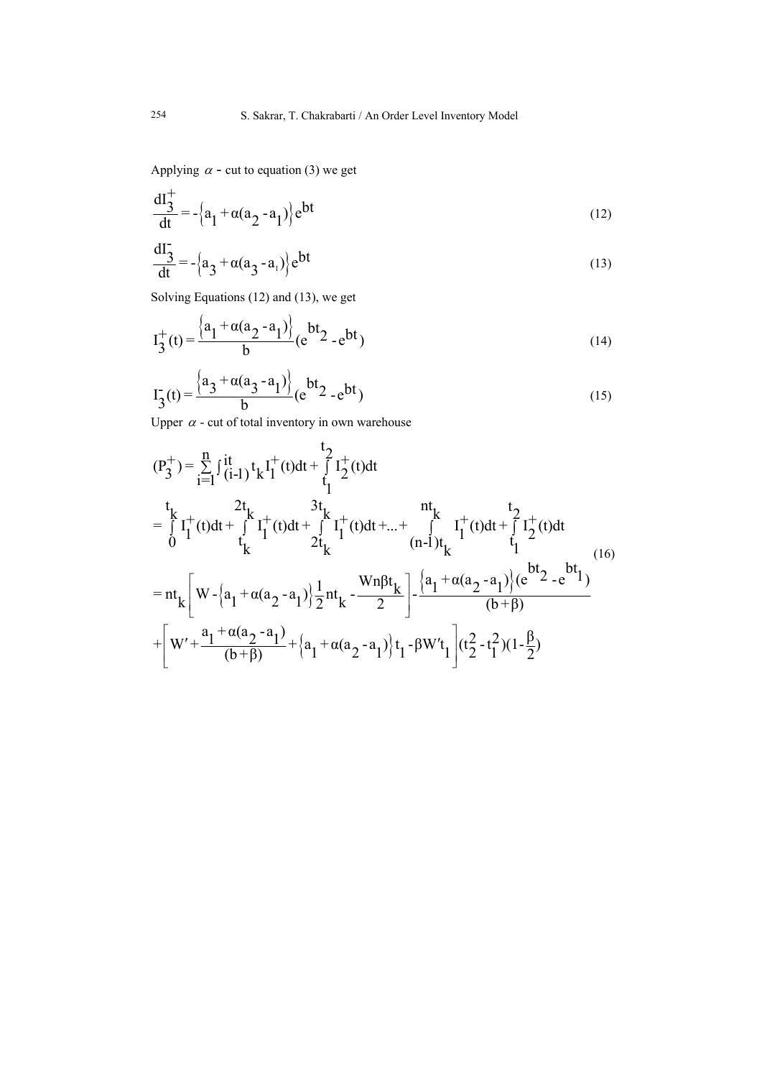Applying  $\alpha$  - cut to equation (3) we get

$$
\frac{dI_3^+}{dt} = -\left\{a_1 + \alpha(a_2 - a_1)\right\} e^{bt}
$$
\n(12)

$$
\frac{dI_3^-}{dt} = -\left\{a_3 + \alpha(a_3 - a_1)\right\} e^{bt}
$$
 (13)

Solving Equations (12) and (13), we get

$$
I_3^+(t) = \frac{\left\{a_1 + \alpha(a_2 - a_1)\right\}}{b} (e^{bt_2} - e^{bt})
$$
\n(14)

$$
I_3^-(t) = \frac{\left\{\frac{a_3 + \alpha(a_3 - a_1)}{b}\right\}}{b} (e^{bt_2} - e^{bt})
$$
\n(15)

Upper  $\alpha$  - cut of total inventory in own warehouse

$$
(P_3^+) = \sum_{i=1}^n \int_{(i-1)}^{it} t_k I_1^+(t) dt + \int_{t_1}^{t_2} I_2^+(t) dt
$$
  
\n
$$
= \int_{0}^{t_1} I_1^+(t) dt + \int_{t_1}^{2t_1} I_1^+(t) dt + \int_{2t_1}^{3t_1} I_1^+(t) dt + ... + \int_{t_1}^{nt_1} I_1^+(t) dt + \int_{1}^{t_2} I_2^+(t) dt
$$
  
\n
$$
= nt_k \left[ W - \left\{ a_1 + \alpha (a_2 - a_1) \right\} \frac{1}{2} nt_k - \frac{Wn \beta t_k}{2} \right] - \frac{\left\{ a_1 + \alpha (a_2 - a_1) \right\} (e^{bt_2} - e^{bt_1})}{(b + \beta)}
$$
  
\n
$$
+ \left[ W' + \frac{a_1 + \alpha (a_2 - a_1)}{(b + \beta)} + \left\{ a_1 + \alpha (a_2 - a_1) \right\} t_1 - \beta W' t_1 \right] (t_2^2 - t_1^2) (1 - \frac{\beta}{2})
$$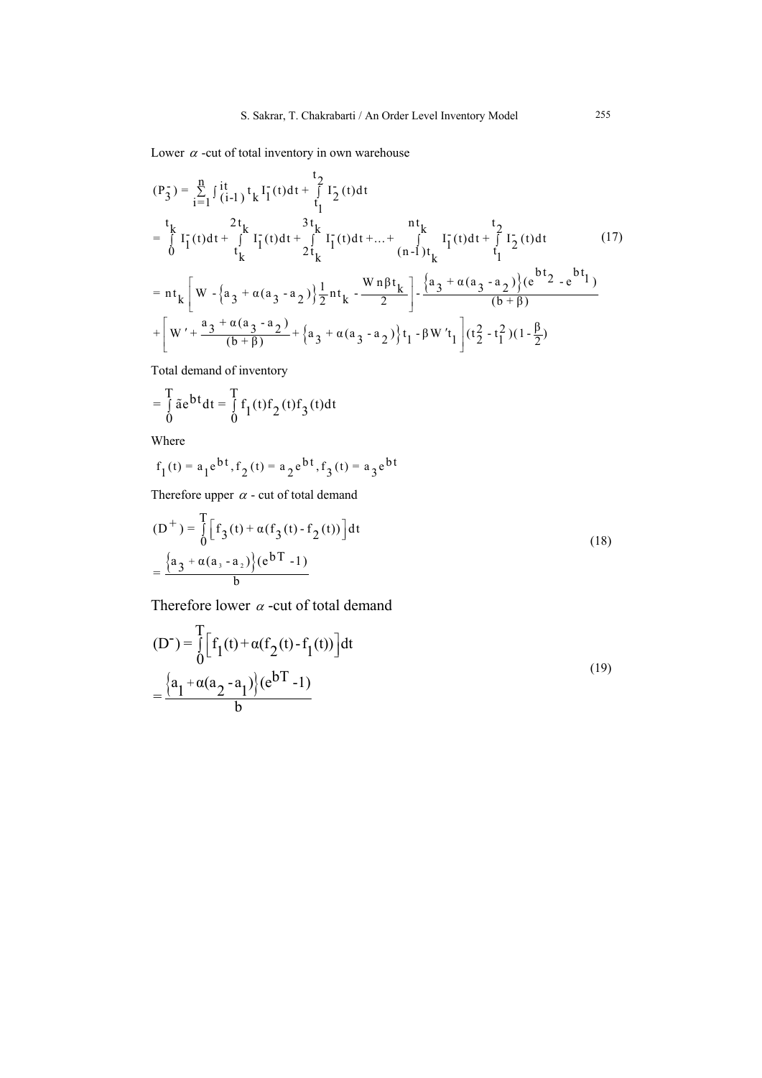Lower  $\alpha$  -cut of total inventory in own warehouse

$$
(P_{3}^{-}) = \sum_{i=1}^{n} \int_{(i-1)}^{it} t_{k} I_{1}^{-}(t) dt + \int_{t_{1}}^{t_{2}} I_{2}^{-}(t) dt
$$
\n
$$
= \int_{0}^{t_{k}} I_{1}^{-}(t) dt + \int_{t_{k}}^{2t_{k}} I_{1}^{-}(t) dt + \int_{2t_{k}}^{3t_{k}} I_{1}^{-}(t) dt + ... + \int_{(n-1)t_{k}}^{n} I_{1}^{-}(t) dt + \int_{t_{1}}^{t_{2}} I_{2}^{-}(t) dt \qquad (17)
$$
\n
$$
= nt_{k} \left[ W - \left\{ a_{3} + \alpha (a_{3} - a_{2}) \right\} \frac{1}{2} n t_{k} - \frac{W_{n} \beta t_{k}}{2} \right] - \left\{ \frac{a_{3} + \alpha (a_{3} - a_{2})}{(b + \beta)} \right\} (e^{bt_{2}} - e^{bt_{1}})
$$
\n
$$
+ \left[ W' + \frac{a_{3} + \alpha (a_{3} - a_{2})}{(b + \beta)} + \left\{ a_{3} + \alpha (a_{3} - a_{2}) \right\} t_{1} - \beta W' t_{1} \right] (t_{2}^{2} - t_{1}^{2}) (1 - \frac{\beta}{2})
$$
\n(10.10)

Total demand of inventory

$$
= \int_{0}^{T} \tilde{a}e^{bt} dt = \int_{0}^{T} f_1(t) f_2(t) f_3(t) dt
$$

Where

$$
f_1(t) = a_1 e^{bt}, f_2(t) = a_2 e^{bt}, f_3(t) = a_3 e^{bt}
$$

Therefore upper  $\alpha$  - cut of total demand

$$
(D^{+}) = \int_{0}^{T} \left[ f_{3}(t) + \alpha (f_{3}(t) - f_{2}(t)) \right] dt
$$
  
= 
$$
\frac{\left\{ a_{3} + \alpha (a_{3} - a_{2}) \right\} (e^{bT} - 1)}{b}
$$
 (18)

Therefore lower  $\alpha$  -cut of total demand

$$
(D^{-}) = \int_{0}^{T} \left[ f_{1}(t) + \alpha (f_{2}(t) - f_{1}(t)) \right] dt
$$
  
= 
$$
\frac{\left\{ a_{1} + \alpha (a_{2} - a_{1}) \right\} (e^{bT} - 1)}{b}
$$
 (19)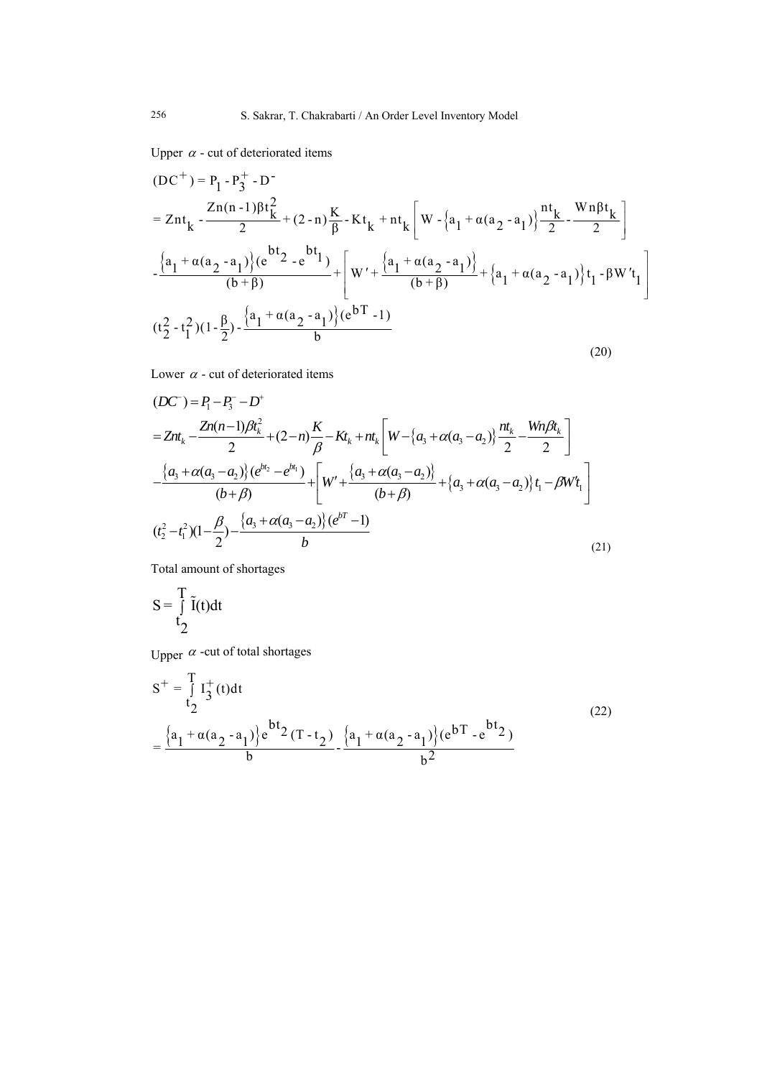Upper  $\alpha$  - cut of deteriorated items

$$
(DC^{+}) = P_{1} - P_{3}^{+} - D^{-}
$$
\n
$$
= Znt_{k} - \frac{Zn(n-1)\beta t_{k}^{2}}{2} + (2-n)\frac{K}{\beta} - Kt_{k} + nt_{k} \left[W - \{a_{1} + \alpha(a_{2} - a_{1})\}\frac{nt_{k}}{2} - \frac{Wn\beta t_{k}}{2}\right]
$$
\n
$$
-\frac{\{a_{1} + \alpha(a_{2} - a_{1})\}e^{bt_{2} - e^{bt_{1}}}}{(b+\beta)} + \left[W' + \frac{\{a_{1} + \alpha(a_{2} - a_{1})\}}{(b+\beta)} + \{a_{1} + \alpha(a_{2} - a_{1})\}t_{1} - \beta W't_{1}\right]
$$
\n
$$
(t_{2}^{2} - t_{1}^{2})(1 - \frac{\beta}{2}) - \frac{\{a_{1} + \alpha(a_{2} - a_{1})\}e^{bT} - 1}{b}
$$
\n(20)

Lower  $\alpha$  - cut of deteriorated items

$$
(DC^{-}) = P_{1} - P_{3}^{-} - D^{+}
$$
\n
$$
= Znt_{k} - \frac{Zn(n-1)\beta t_{k}^{2}}{2} + (2-n)\frac{K}{\beta} - Kt_{k} + nt_{k} \left[W - \{a_{3} + \alpha(a_{3} - a_{2})\} \frac{nt_{k}}{2} - \frac{Wn\beta t_{k}}{2}\right]
$$
\n
$$
- \frac{\{a_{3} + \alpha(a_{3} - a_{2})\} (e^{bt_{2}} - e^{bt_{1}})}{(b+\beta)} + \left[W + \frac{\{a_{3} + \alpha(a_{3} - a_{2})\}}{(b+\beta)} + \{a_{3} + \alpha(a_{3} - a_{2})\} t_{1} - \beta W t_{1}\right]
$$
\n
$$
(t_{2}^{2} - t_{1}^{2})(1 - \frac{\beta}{2}) - \frac{\{a_{3} + \alpha(a_{3} - a_{2})\} (e^{bt_{1}} - 1)}{b}
$$
\n(21)

Total amount of shortages

$$
S = \int_{t_2}^{T} \tilde{I}(t)dt
$$

Upper  $\alpha$  -cut of total shortages

$$
S^{+} = \int_{t_{2}}^{T} I_{3}^{+}(t)dt
$$
  
= 
$$
\frac{\left\{a_{1} + \alpha(a_{2} - a_{1})\right\}e^{bt_{2}}(T - t_{2})}{b} - \frac{\left\{a_{1} + \alpha(a_{2} - a_{1})\right\}(e^{bT} - e^{bt_{2}})}{b^{2}}
$$
(22)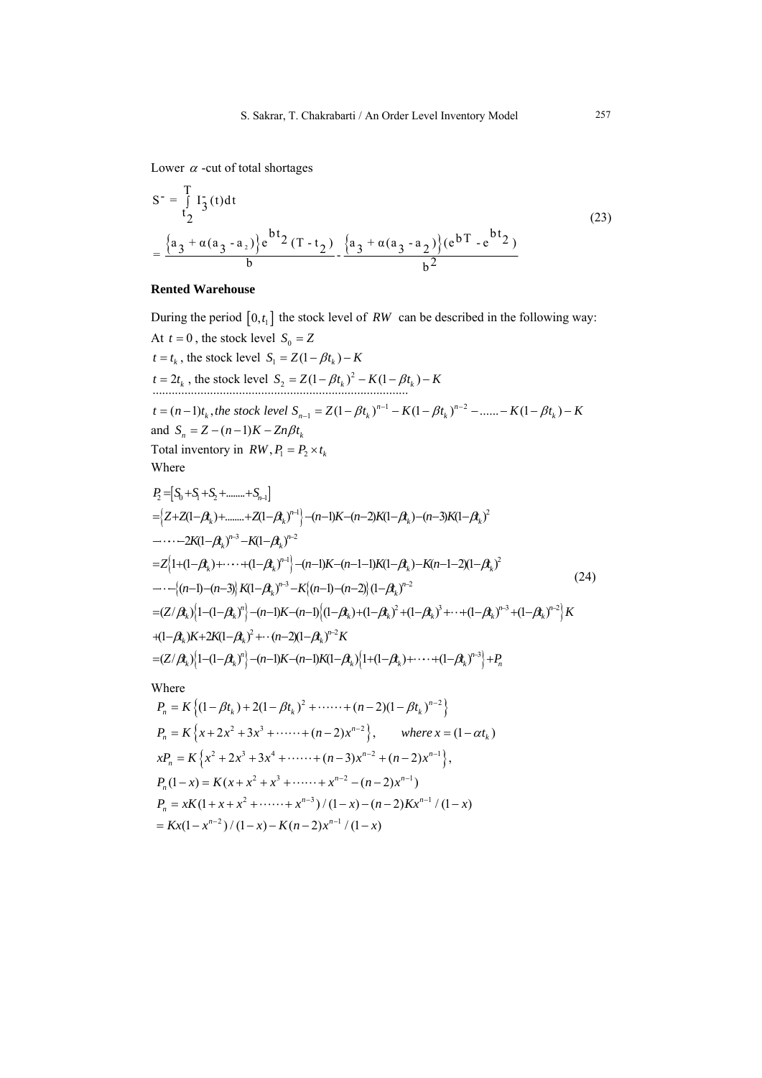Lower  $\alpha$  -cut of total shortages

$$
S^{-} = \int_{t_2}^{T} I_3^-(t) dt
$$
  
= 
$$
\frac{\{a_3 + \alpha(a_3 - a_2)\}e^{bt_2}(T - t_2)}{b} - \frac{\{a_3 + \alpha(a_3 - a_2)\} (e^{bT} - e^{bt_2})}{b^2}
$$
 (23)

## **Rented Warehouse**

During the period  $[0, t_1]$  the stock level of *RW* can be described in the following way: At  $t = 0$ , the stock level  $S_0 = Z$  $t = t_k$ , the stock level  $S_1 = Z(1 - \beta t_k) - K$  $t = 2t_k$ , the stock level  $S_2 = Z(1 - \beta t_k)^2 - K(1 - \beta t_k) - K$  $t = (n-1)t_k$ , the stock level  $S_{n-1} = Z(1 - \beta t_k)^{n-1} - K(1 - \beta t_k)^{n-2} - \dots - K(1 - \beta t_k) - K$ and  $S_n = Z - (n-1)K - Zn\beta t_k$ Total inventory in  $RW, P_1 = P_2 \times t_k$ Where  $P_2 = [S_0 + S_1 + S_2 + \dots + S_{n-1}]$  $=\left\{Z+Z(1-\beta_{k})+\dots+Z(1-\beta_{k})^{n-1}\right\}-(n-1)K-(n-2)K(1-\beta_{k})-(n-3)K(1-\beta_{k})^{2}$  $=Z_{1}^{1}1+(1-\beta_{k})+\cdots+(1-\beta_{k})^{n-1}\big\}-(n-1)K-(n-1-1)K(1-\beta_{k})-K(n-1-2)(1-\beta_{k})^{2}$ ----{(n-1)-(n-3)} K(1- $\beta_k$ )<sup>n-3</sup> -K{(n-1)-(n-2)} (1- $\beta_k$ )<sup>n-2</sup>  $-\cdots-2K(1-\beta_{k})^{n-3}-K(1-\beta_{k})^{n-2}$  ${=(Z/\beta_k)}\left\{1{-}(1{-}\beta_k)^n\right\} {-}(n{-}1)K{-}(n{-}1)\left\{(1{-}\beta_k)^2+(1{-}\beta_k)^2+ (1{-}\beta_k)^3+ \cdots+(1{-}\beta_k)^{n-3}+(1{-}\beta_k)^{n-2}\right\}K$  $=(Z/\beta_k)^{1}[-(1-\beta_k)^n] - (n-1)K-(n-1)K(1-\beta_k)^{1}+ (1-\beta_k)^{1+\cdots}+ (1-\beta_k)^{n-3} + P_n$  $+(1-\beta_k)K+2K(1-\beta_k)^2+\cdots(n-2)(1-\beta_k)^{n-2}K$ (24) Where  $P_n = K \left\{ (1 - \beta t_k) + 2(1 - \beta t_k)^2 + \cdots + (n - 2)(1 - \beta t_k)^{n-2} \right\}$ 

$$
P_n = K\left\{x + 2x^2 + 3x^3 + \dots + (n-2)x^{n-2}\right\}, \quad \text{where } x = (1 - \alpha t_k)
$$
\n
$$
xP_n = K\left\{x^2 + 2x^3 + 3x^4 + \dots + (n-3)x^{n-2} + (n-2)x^{n-1}\right\},
$$
\n
$$
P_n(1-x) = K(x + x^2 + x^3 + \dots + x^{n-2} - (n-2)x^{n-1})
$$
\n
$$
P_n = xK(1 + x + x^2 + \dots + x^{n-3})/(1-x) - (n-2)Kx^{n-1}/(1-x)
$$
\n
$$
= Kx(1 - x^{n-2})/(1-x) - K(n-2)x^{n-1}/(1-x)
$$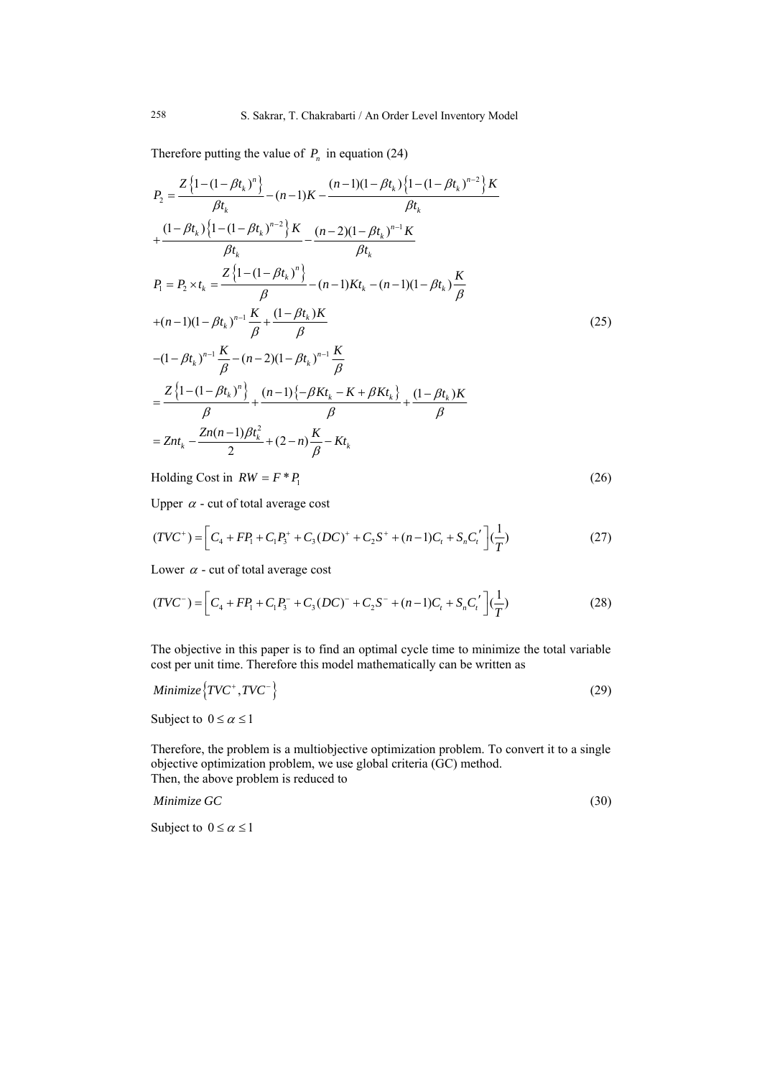Therefore putting the value of  $P_n$  in equation (24)

$$
P_{2} = \frac{Z\left\{1-(1-\beta t_{k})^{n}\right\}}{\beta t_{k}} - (n-1)K - \frac{(n-1)(1-\beta t_{k})\left\{1-(1-\beta t_{k})^{n-2}\right\}K}{\beta t_{k}}
$$
  
+ 
$$
\frac{(1-\beta t_{k})\left\{1-(1-\beta t_{k})^{n-2}\right\}K}{\beta t_{k}} - \frac{(n-2)(1-\beta t_{k})^{n-1}K}{\beta t_{k}}
$$
  

$$
P_{1} = P_{2} \times t_{k} = \frac{Z\left\{1-(1-\beta t_{k})^{n}\right\}}{\beta} - (n-1)Kt_{k} - (n-1)(1-\beta t_{k})\frac{K}{\beta}
$$
  
+
$$
(n-1)(1-\beta t_{k})^{n-1}\frac{K}{\beta} + \frac{(1-\beta t_{k})K}{\beta}
$$
  

$$
-(1-\beta t_{k})^{n-1}\frac{K}{\beta} - (n-2)(1-\beta t_{k})^{n-1}\frac{K}{\beta}
$$
  

$$
= \frac{Z\left\{1-(1-\beta t_{k})^{n}\right\}}{\beta} + \frac{(n-1)\{-\beta K t_{k} - K + \beta K t_{k}\}}{\beta} + \frac{(1-\beta t_{k})K}{\beta}
$$
  
= 
$$
Znt_{k} - \frac{Zn(n-1)\beta t_{k}^{2}}{2} + (2-n)\frac{K}{\beta} - Kt_{k}
$$
 (1

Holding Cost in  $RW = F^* P_1$  (26)

Upper  $\alpha$  - cut of total average cost

$$
(TVC^+) = \left[C_4 + FP_1 + C_1P_3^+ + C_3(DC)^+ + C_2S^+ + (n-1)C_t + S_nC_t'\right]\left(\frac{1}{T}\right) \tag{27}
$$

Lower  $\alpha$  - cut of total average cost

$$
(TVC^{-}) = \left[C_4 + FP_1 + C_1P_3^{-} + C_3(DC)^{-} + C_2S^{-} + (n-1)C_t + S_nC_t'\right]\left(\frac{1}{T}\right)
$$
\n(28)

The objective in this paper is to find an optimal cycle time to minimize the total variable cost per unit time. Therefore this model mathematically can be written as

$$
Minimize \{TVC^+, TVC^-\} \tag{29}
$$

Subject to  $0 \le \alpha \le 1$ 

Therefore, the problem is a multiobjective optimization problem. To convert it to a single objective optimization problem, we use global criteria (GC) method. Then, the above problem is reduced to

*Minimize GC* (30)

Subject to  $0 \le \alpha \le 1$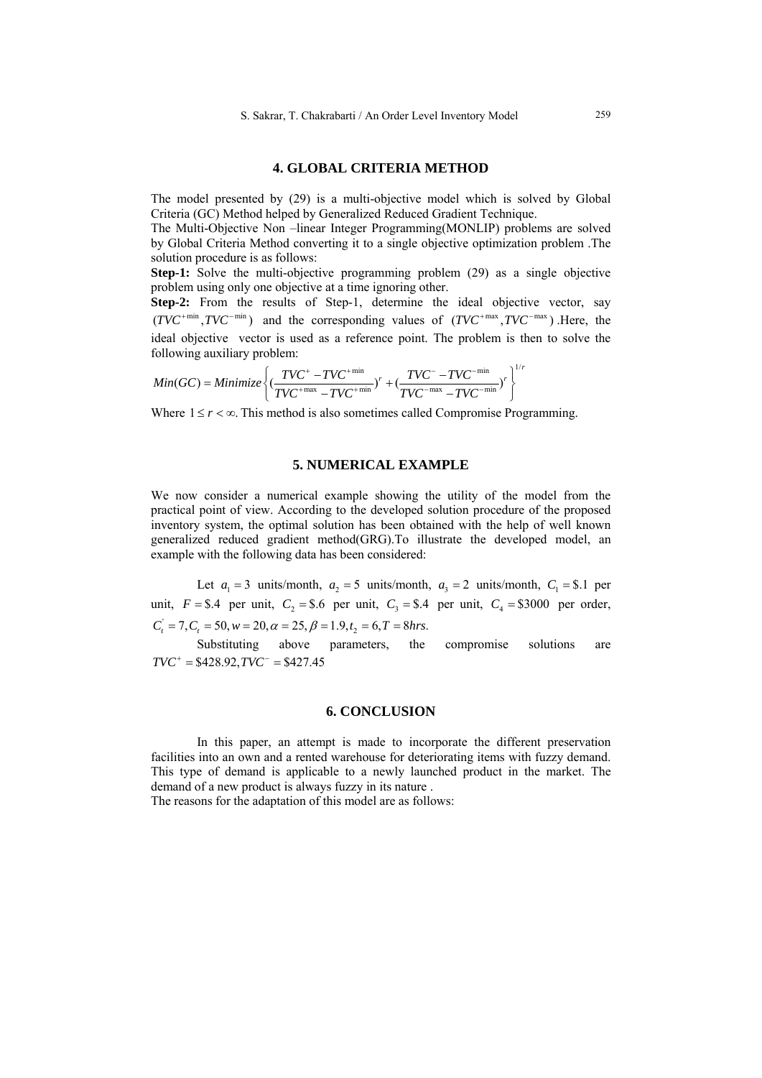## **4. GLOBAL CRITERIA METHOD**

The model presented by (29) is a multi-objective model which is solved by Global Criteria (GC) Method helped by Generalized Reduced Gradient Technique.

The Multi-Objective Non –linear Integer Programming(MONLIP) problems are solved by Global Criteria Method converting it to a single objective optimization problem .The solution procedure is as follows:

**Step-1:** Solve the multi-objective programming problem (29) as a single objective problem using only one objective at a time ignoring other.

**Step-2:** From the results of Step-1, determine the ideal objective vector, say  $(TVC^{+min}, TVC^{-min})$  and the corresponding values of  $(TVC^{+max}, TVC^{-max})$ . Here, the ideal objective vector is used as a reference point. The problem is then to solve the following auxiliary problem:

$$
Min(GC) = Minimize \left\{ \left( \frac{TVC^+ - TVC^{+min}}{TVC^{+max} - TVC^{+min}} \right)^r + \left( \frac{TVC^- - TVC^{-min}}{TVC^{-max} - TVC^{-min}} \right)^r \right\}^{L}
$$

Where  $1 \le r < \infty$ . This method is also sometimes called Compromise Programming.

## **5. NUMERICAL EXAMPLE**

We now consider a numerical example showing the utility of the model from the practical point of view. According to the developed solution procedure of the proposed inventory system, the optimal solution has been obtained with the help of well known generalized reduced gradient method(GRG).To illustrate the developed model, an example with the following data has been considered:

Let  $a_1 = 3$  units/month,  $a_2 = 5$  units/month,  $a_3 = 2$  units/month,  $C_1 = $.1$  per unit,  $F = $.4$  per unit,  $C_2 = $.6$  per unit,  $C_3 = $.4$  per unit,  $C_4 = $3000$  per order,  $C'_i = 7, C_i = 50, w = 20, \alpha = 25, \beta = 1.9, t_2 = 6, T = 8 hrs.$ 

Substituting above parameters, the compromise solutions are  $TVC^+ = $428.92$ ,  $TVC^- = $427.45$ 

#### **6. CONCLUSION**

In this paper, an attempt is made to incorporate the different preservation facilities into an own and a rented warehouse for deteriorating items with fuzzy demand. This type of demand is applicable to a newly launched product in the market. The demand of a new product is always fuzzy in its nature .

The reasons for the adaptation of this model are as follows:

*r*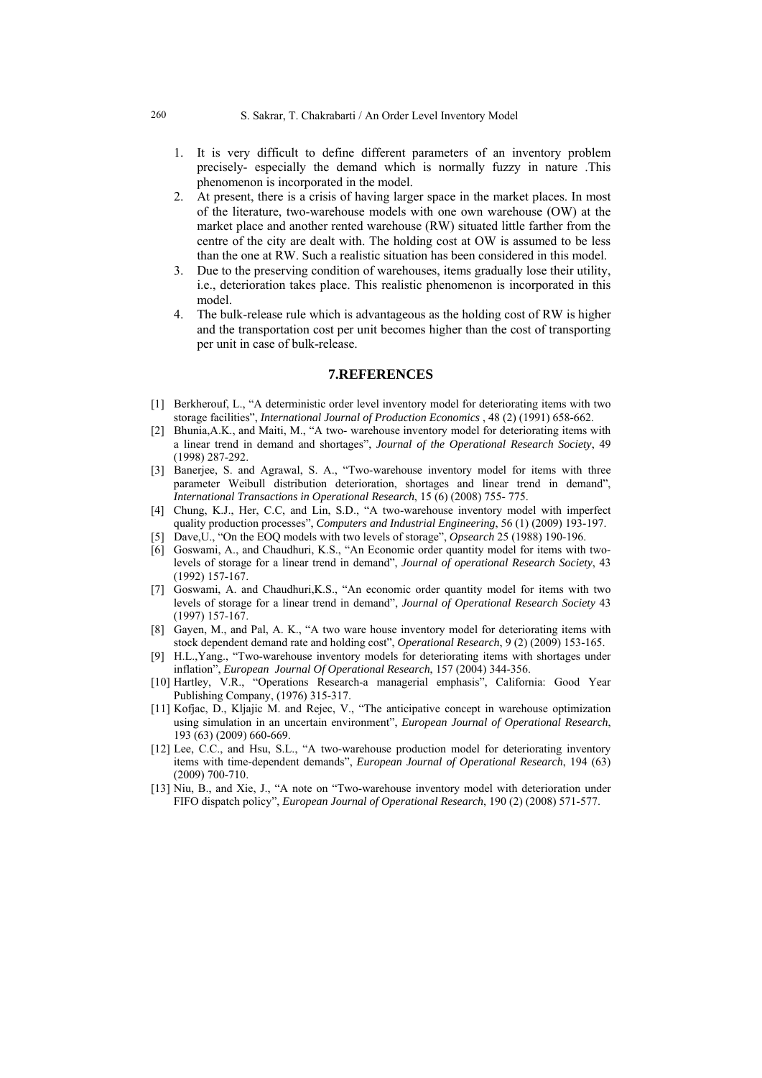- 1. It is very difficult to define different parameters of an inventory problem precisely- especially the demand which is normally fuzzy in nature .This phenomenon is incorporated in the model.
- 2. At present, there is a crisis of having larger space in the market places. In most of the literature, two-warehouse models with one own warehouse (OW) at the market place and another rented warehouse (RW) situated little farther from the centre of the city are dealt with. The holding cost at OW is assumed to be less than the one at RW. Such a realistic situation has been considered in this model.
- 3. Due to the preserving condition of warehouses, items gradually lose their utility, i.e., deterioration takes place. This realistic phenomenon is incorporated in this model.
- 4. The bulk-release rule which is advantageous as the holding cost of RW is higher and the transportation cost per unit becomes higher than the cost of transporting per unit in case of bulk-release.

## **7.REFERENCES**

- [1] Berkherouf, L., "A deterministic order level inventory model for deteriorating items with two storage facilities", *International Journal of Production Economics* , 48 (2) (1991) 658-662.
- [2] Bhunia,A.K., and Maiti, M., "A two- warehouse inventory model for deteriorating items with a linear trend in demand and shortages", *Journal of the Operational Research Society*, 49 (1998) 287-292.
- [3] Banerjee, S. and Agrawal, S. A., "Two-warehouse inventory model for items with three parameter Weibull distribution deterioration, shortages and linear trend in demand", *International Transactions in Operational Research*, 15 (6) (2008) 755- 775.
- [4] Chung, K.J., Her, C.C, and Lin, S.D., "A two-warehouse inventory model with imperfect quality production processes", *Computers and Industrial Engineering*, 56 (1) (2009) 193-197.
- [5] Dave,U., "On the EOQ models with two levels of storage", *Opsearch* 25 (1988) 190-196.
- [6] Goswami, A., and Chaudhuri, K.S., "An Economic order quantity model for items with twolevels of storage for a linear trend in demand", *Journal of operational Research Society*, 43 (1992) 157-167.
- [7] Goswami, A. and Chaudhuri,K.S., "An economic order quantity model for items with two levels of storage for a linear trend in demand", *Journal of Operational Research Society* 43 (1997) 157-167.
- [8] Gayen, M., and Pal, A. K., "A two ware house inventory model for deteriorating items with stock dependent demand rate and holding cost", *Operational Research*, 9 (2) (2009) 153-165.
- [9] H.L.,Yang., "Two-warehouse inventory models for deteriorating items with shortages under inflation", *European Journal Of Operational Research*, 157 (2004) 344-356.
- [10] Hartley, V.R., "Operations Research-a managerial emphasis", California: Good Year Publishing Company, (1976) 315-317.
- [11] Kofjac, D., Kljajic M. and Rejec, V., "The anticipative concept in warehouse optimization using simulation in an uncertain environment", *European Journal of Operational Research*, 193 (63) (2009) 660-669.
- [12] Lee, C.C., and Hsu, S.L., "A two-warehouse production model for deteriorating inventory items with time-dependent demands", *European Journal of Operational Research*, 194 (63) (2009) 700-710.
- [13] Niu, B., and Xie, J., "A note on "Two-warehouse inventory model with deterioration under FIFO dispatch policy", *European Journal of Operational Research*, 190 (2) (2008) 571-577.